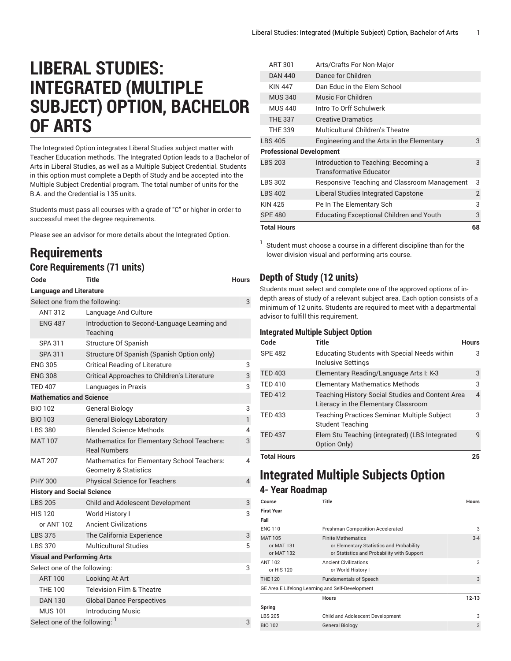# **LIBERAL STUDIES: INTEGRATED (MULTIPLE SUBJECT) OPTION, BACHELOR OF ARTS**

The Integrated Option integrates Liberal Studies subject matter with Teacher Education methods. The Integrated Option leads to a Bachelor of Arts in Liberal Studies, as well as a Multiple Subject Credential. Students in this option must complete a Depth of Study and be accepted into the Multiple Subject Credential program. The total number of units for the B.A. and the Credential is 135 units.

Students must pass all courses with a grade of "C" or higher in order to successful meet the degree requirements.

Please see an advisor for more details about the Integrated Option.

## **Requirements**

#### **Core Requirements (71 units)**

| Code                              | Title                                                                           | <b>Hours</b>   |
|-----------------------------------|---------------------------------------------------------------------------------|----------------|
| <b>Language and Literature</b>    |                                                                                 |                |
| Select one from the following:    |                                                                                 | 3              |
| <b>ANT 312</b>                    | Language And Culture                                                            |                |
| <b>ENG 487</b>                    | Introduction to Second-Language Learning and<br>Teaching                        |                |
| SPA 311                           | <b>Structure Of Spanish</b>                                                     |                |
| <b>SPA 311</b>                    | Structure Of Spanish (Spanish Option only)                                      |                |
| <b>ENG 305</b>                    | <b>Critical Reading of Literature</b>                                           | 3              |
| <b>ENG 308</b>                    | Critical Approaches to Children's Literature                                    | 3              |
| <b>TED 407</b>                    | Languages in Praxis                                                             | 3              |
| <b>Mathematics and Science</b>    |                                                                                 |                |
| <b>BIO 102</b>                    | <b>General Biology</b>                                                          | 3              |
| <b>BIO 103</b>                    | <b>General Biology Laboratory</b>                                               | 1              |
| <b>LBS 380</b>                    | <b>Blended Science Methods</b>                                                  | 4              |
| <b>MAT 107</b>                    | Mathematics for Elementary School Teachers:<br><b>Real Numbers</b>              | 3              |
| <b>MAT 207</b>                    | Mathematics for Elementary School Teachers:<br><b>Geometry &amp; Statistics</b> | 4              |
| <b>PHY 300</b>                    | <b>Physical Science for Teachers</b>                                            | $\overline{4}$ |
| <b>History and Social Science</b> |                                                                                 |                |
| <b>LBS 205</b>                    | <b>Child and Adolescent Development</b>                                         | 3              |
| <b>HIS 120</b>                    | World History I                                                                 | 3              |
| or ANT 102                        | <b>Ancient Civilizations</b>                                                    |                |
| <b>LBS 375</b>                    | The California Experience                                                       | 3              |
| <b>LBS 370</b>                    | Multicultural Studies                                                           | 5              |
| <b>Visual and Performing Arts</b> |                                                                                 |                |
| Select one of the following:      |                                                                                 | 3              |
| <b>ART 100</b>                    | Looking At Art                                                                  |                |
| <b>THE 100</b>                    | <b>Television Film &amp; Theatre</b>                                            |                |
| <b>DAN 130</b>                    | <b>Global Dance Perspectives</b>                                                |                |
| <b>MUS101</b>                     | <b>Introducing Music</b>                                                        |                |
| Select one of the following:      |                                                                                 | 3              |

| <b>Total Hours</b>              |                                                                        | 68 |
|---------------------------------|------------------------------------------------------------------------|----|
| <b>SPE 480</b>                  | <b>Educating Exceptional Children and Youth</b>                        | 3  |
| <b>KIN 425</b>                  | Pe In The Elementary Sch                                               | 3  |
| <b>LBS 402</b>                  | Liberal Studies Integrated Capstone                                    | 2  |
| <b>LBS 302</b>                  | Responsive Teaching and Classroom Management                           | 3  |
| <b>LBS 203</b>                  | Introduction to Teaching: Becoming a<br><b>Transformative Educator</b> | 3  |
| <b>Professional Development</b> |                                                                        |    |
| <b>LBS 405</b>                  | Engineering and the Arts in the Elementary                             | 3  |
| <b>THE 339</b>                  | Multicultural Children's Theatre                                       |    |
| <b>THE 337</b>                  | <b>Creative Dramatics</b>                                              |    |
| <b>MUS 440</b>                  | Intro To Orff Schulwerk                                                |    |
| <b>MUS 340</b>                  | Music For Children                                                     |    |
| <b>KIN 447</b>                  | Dan Educ in the Flem School                                            |    |
| <b>DAN 440</b>                  | Dance for Children                                                     |    |
| ART 301                         | Arts/Crafts For Non-Major                                              |    |

 $^1$  Student must choose a course in a different discipline than for the lower division visual and performing arts course.

#### **Depth of Study (12 units)**

Students must select and complete one of the approved options of indepth areas of study of a relevant subject area. Each option consists of a minimum of 12 units. Students are required to meet with a departmental advisor to fulfill this requirement.

#### **Integrated Multiple Subject Option**

| Code               | <b>Title</b>                                                                             | <b>Hours</b> |
|--------------------|------------------------------------------------------------------------------------------|--------------|
| <b>SPE 482</b>     | <b>Educating Students with Special Needs within</b><br><b>Inclusive Settings</b>         | 3            |
| <b>TED 403</b>     | Elementary Reading/Language Arts I: K-3                                                  | 3            |
| <b>TED 410</b>     | <b>Elementary Mathematics Methods</b>                                                    | 3            |
| <b>TED 412</b>     | Teaching History-Social Studies and Content Area<br>Literacy in the Elementary Classroom | 4            |
| <b>TED 433</b>     | Teaching Practices Seminar. Multiple Subject<br><b>Student Teaching</b>                  | 3            |
| <b>TED 437</b>     | Elem Stu Teaching (integrated) (LBS Integrated<br>Option Only)                           | 9            |
| <b>Total Hours</b> |                                                                                          | 25           |

### **Integrated Multiple Subjects Option 4- Year Roadmap**

| Course                                           | <b>Title</b>                                                                                                        | <b>Hours</b> |
|--------------------------------------------------|---------------------------------------------------------------------------------------------------------------------|--------------|
| <b>First Year</b>                                |                                                                                                                     |              |
| Fall                                             |                                                                                                                     |              |
| <b>ENG 110</b>                                   | <b>Freshman Composition Accelerated</b>                                                                             | 3            |
| MAT 105<br>or MAT 131<br>or MAT 132              | <b>Finite Mathematics</b><br>or Elementary Statistics and Probability<br>or Statistics and Probability with Support | $3 - 4$      |
| ANT 102<br>or HIS 120                            | <b>Ancient Civilizations</b><br>or World History I                                                                  | 3            |
| <b>THE 120</b>                                   | <b>Fundamentals of Speech</b>                                                                                       | 3            |
| GE Area E Lifelong Learning and Self-Development |                                                                                                                     |              |
|                                                  | <b>Hours</b>                                                                                                        | $12 - 13$    |
| Spring                                           |                                                                                                                     |              |
| <b>LBS 205</b>                                   | Child and Adolescent Development                                                                                    | 3            |
| <b>BIO 102</b>                                   | <b>General Biology</b>                                                                                              | 3            |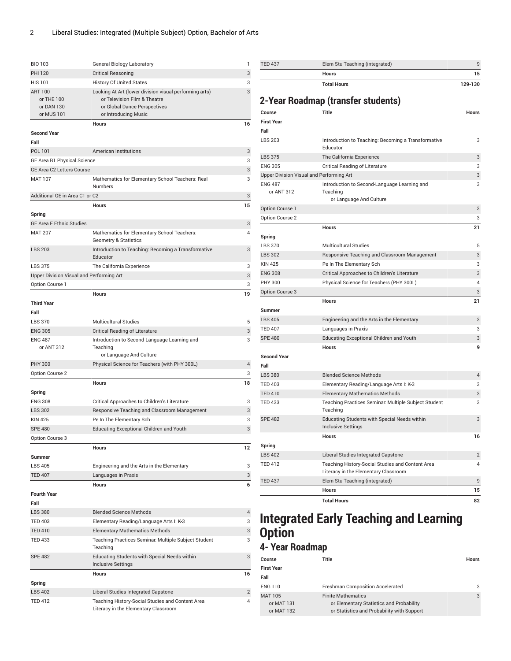| <b>BIO 103</b>                           | General Biology Laboratory                                                      | 1              |
|------------------------------------------|---------------------------------------------------------------------------------|----------------|
| <b>PHI 120</b>                           | <b>Critical Reasoning</b>                                                       | 3              |
| <b>HIS 101</b>                           | <b>History Of United States</b>                                                 | 3              |
| <b>ART 100</b>                           | Looking At Art (lower division visual performing arts)                          | 3              |
| or THE 100                               | or Television Film & Theatre                                                    |                |
| or DAN 130                               | or Global Dance Perspectives                                                    |                |
| or MUS 101                               | or Introducing Music                                                            |                |
|                                          | <b>Hours</b>                                                                    | 16             |
| <b>Second Year</b>                       |                                                                                 |                |
| Fall                                     |                                                                                 |                |
| POL 101                                  | <b>American Institutions</b>                                                    | 3              |
| GE Area B1 Physical Science              |                                                                                 | 3              |
| GE Area C2 Letters Course                |                                                                                 | 3              |
| <b>MAT 107</b>                           | Mathematics for Elementary School Teachers: Real<br><b>Numbers</b>              | 3              |
| Additional GE in Area C1 or C2           |                                                                                 | 3              |
|                                          | <b>Hours</b>                                                                    | 15             |
| Spring                                   |                                                                                 |                |
| <b>GE Area F Ethnic Studies</b>          |                                                                                 | 3              |
| <b>MAT 207</b>                           | Mathematics for Elementary School Teachers:<br><b>Geometry &amp; Statistics</b> | 4              |
| <b>LBS 203</b>                           | Introduction to Teaching: Becoming a Transformative                             | 3              |
|                                          | Educator                                                                        |                |
| <b>LBS 375</b>                           | The California Experience                                                       | 3              |
| Upper Division Visual and Performing Art |                                                                                 | 3              |
| Option Course 1                          |                                                                                 | 3              |
|                                          | <b>Hours</b>                                                                    | 19             |
| <b>Third Year</b>                        |                                                                                 |                |
| Fall                                     |                                                                                 |                |
| <b>LBS 370</b>                           | <b>Multicultural Studies</b>                                                    | 5              |
| <b>ENG 305</b>                           | <b>Critical Reading of Literature</b>                                           | 3              |
| <b>ENG 487</b>                           | Introduction to Second-Language Learning and                                    | 3              |
| or ANT 312                               | Teaching<br>or Language And Culture                                             |                |
| <b>PHY 300</b>                           | Physical Science for Teachers (with PHY 300L)                                   | 4              |
| Option Course 2                          |                                                                                 | 3              |
|                                          |                                                                                 |                |
|                                          | Hours                                                                           | 18             |
| Spring<br><b>ENG 308</b>                 |                                                                                 | 3              |
|                                          | Critical Approaches to Children's Literature                                    |                |
| <b>LBS 302</b>                           | Responsive Teaching and Classroom Management                                    | 3              |
| <b>KIN 425</b>                           | Pe In The Elementary Sch                                                        | 3              |
| <b>SPE 480</b>                           | <b>Educating Exceptional Children and Youth</b>                                 | 3              |
| Option Course 3                          |                                                                                 |                |
|                                          | <b>Hours</b>                                                                    | 12             |
| Summer                                   |                                                                                 |                |
| <b>LBS 405</b>                           | Engineering and the Arts in the Elementary                                      | 3              |
| <b>TED 407</b>                           | Languages in Praxis                                                             | 3              |
|                                          | <b>Hours</b>                                                                    | 6              |
| <b>Fourth Year</b>                       |                                                                                 |                |
| Fall                                     |                                                                                 |                |
| <b>LBS 380</b>                           | <b>Blended Science Methods</b>                                                  | 4              |
| <b>TED 403</b>                           | Elementary Reading/Language Arts I: K-3                                         | 3              |
| <b>TED 410</b>                           | <b>Elementary Mathematics Methods</b>                                           | 3              |
| <b>TED 433</b>                           | Teaching Practices Seminar: Multiple Subject Student<br>Teaching                | 3              |
| <b>SPE 482</b>                           | Educating Students with Special Needs within<br><b>Inclusive Settings</b>       | 3              |
|                                          | <b>Hours</b>                                                                    | 16             |
| Spring                                   |                                                                                 |                |
| <b>LBS 402</b>                           | Liberal Studies Integrated Capstone                                             | $\overline{2}$ |
| <b>TED 412</b>                           | Teaching History-Social Studies and Content Area                                | 4              |
|                                          | Literacy in the Elementary Classroom                                            |                |

| <b>Total Hours</b><br>129-130<br>2-Year Roadmap (transfer students)<br><b>Title</b><br>Course<br><b>Hours</b><br><b>First Year</b><br>Fall<br><b>LBS 203</b><br>Introduction to Teaching: Becoming a Transformative<br>3<br>Educator<br><b>LBS 375</b><br>The California Experience<br>3<br><b>ENG 305</b><br><b>Critical Reading of Literature</b><br>3<br>Upper Division Visual and Performing Art<br>3<br><b>ENG 487</b><br>Introduction to Second-Language Learning and<br>3<br>or ANT 312<br>Teaching<br>or Language And Culture<br>Option Course 1<br>3<br>Option Course 2<br>3<br>21<br><b>Hours</b><br>Spring<br><b>LBS 370</b><br><b>Multicultural Studies</b><br>5<br><b>LBS 302</b><br>Responsive Teaching and Classroom Management<br>3<br><b>KIN 425</b><br>Pe In The Elementary Sch<br>3<br><b>ENG 308</b><br>Critical Approaches to Children's Literature<br>3<br><b>PHY 300</b><br>Physical Science for Teachers (PHY 300L)<br>$\overline{4}$<br>Option Course 3<br>3<br><b>Hours</b><br>21<br><b>Summer</b><br><b>LBS 405</b><br>3<br>Engineering and the Arts in the Elementary<br><b>TED 407</b><br>3<br>Languages in Praxis<br><b>SPE 480</b><br><b>Educating Exceptional Children and Youth</b><br>3<br><b>Hours</b><br>9<br><b>Second Year</b><br>Fall<br><b>LBS 380</b><br><b>Blended Science Methods</b><br>$\overline{4}$<br><b>TED 403</b><br>Elementary Reading/Language Arts I: K-3<br>3<br><b>TED 410</b><br><b>Elementary Mathematics Methods</b><br>3<br><b>TED 433</b><br>Teaching Practices Seminar: Multiple Subject Student<br>3<br>Teaching<br><b>SPE 482</b><br>Educating Students with Special Needs within<br>3<br><b>Inclusive Settings</b><br><b>Hours</b><br>16<br>Spring<br><b>LBS 402</b><br>Liberal Studies Integrated Capstone<br>2<br><b>TED 412</b><br>Teaching History-Social Studies and Content Area<br>4<br>Literacy in the Elementary Classroom<br><b>TED 437</b><br>9<br>Elem Stu Teaching (integrated)<br><b>Hours</b><br>15<br><b>Total Hours</b><br>82 | <b>Hours</b> | 15 |
|-----------------------------------------------------------------------------------------------------------------------------------------------------------------------------------------------------------------------------------------------------------------------------------------------------------------------------------------------------------------------------------------------------------------------------------------------------------------------------------------------------------------------------------------------------------------------------------------------------------------------------------------------------------------------------------------------------------------------------------------------------------------------------------------------------------------------------------------------------------------------------------------------------------------------------------------------------------------------------------------------------------------------------------------------------------------------------------------------------------------------------------------------------------------------------------------------------------------------------------------------------------------------------------------------------------------------------------------------------------------------------------------------------------------------------------------------------------------------------------------------------------------------------------------------------------------------------------------------------------------------------------------------------------------------------------------------------------------------------------------------------------------------------------------------------------------------------------------------------------------------------------------------------------------------------------------------------------------------------------------------------------------|--------------|----|
|                                                                                                                                                                                                                                                                                                                                                                                                                                                                                                                                                                                                                                                                                                                                                                                                                                                                                                                                                                                                                                                                                                                                                                                                                                                                                                                                                                                                                                                                                                                                                                                                                                                                                                                                                                                                                                                                                                                                                                                                                 |              |    |
|                                                                                                                                                                                                                                                                                                                                                                                                                                                                                                                                                                                                                                                                                                                                                                                                                                                                                                                                                                                                                                                                                                                                                                                                                                                                                                                                                                                                                                                                                                                                                                                                                                                                                                                                                                                                                                                                                                                                                                                                                 |              |    |
|                                                                                                                                                                                                                                                                                                                                                                                                                                                                                                                                                                                                                                                                                                                                                                                                                                                                                                                                                                                                                                                                                                                                                                                                                                                                                                                                                                                                                                                                                                                                                                                                                                                                                                                                                                                                                                                                                                                                                                                                                 |              |    |
|                                                                                                                                                                                                                                                                                                                                                                                                                                                                                                                                                                                                                                                                                                                                                                                                                                                                                                                                                                                                                                                                                                                                                                                                                                                                                                                                                                                                                                                                                                                                                                                                                                                                                                                                                                                                                                                                                                                                                                                                                 |              |    |
|                                                                                                                                                                                                                                                                                                                                                                                                                                                                                                                                                                                                                                                                                                                                                                                                                                                                                                                                                                                                                                                                                                                                                                                                                                                                                                                                                                                                                                                                                                                                                                                                                                                                                                                                                                                                                                                                                                                                                                                                                 |              |    |
|                                                                                                                                                                                                                                                                                                                                                                                                                                                                                                                                                                                                                                                                                                                                                                                                                                                                                                                                                                                                                                                                                                                                                                                                                                                                                                                                                                                                                                                                                                                                                                                                                                                                                                                                                                                                                                                                                                                                                                                                                 |              |    |
|                                                                                                                                                                                                                                                                                                                                                                                                                                                                                                                                                                                                                                                                                                                                                                                                                                                                                                                                                                                                                                                                                                                                                                                                                                                                                                                                                                                                                                                                                                                                                                                                                                                                                                                                                                                                                                                                                                                                                                                                                 |              |    |
|                                                                                                                                                                                                                                                                                                                                                                                                                                                                                                                                                                                                                                                                                                                                                                                                                                                                                                                                                                                                                                                                                                                                                                                                                                                                                                                                                                                                                                                                                                                                                                                                                                                                                                                                                                                                                                                                                                                                                                                                                 |              |    |
|                                                                                                                                                                                                                                                                                                                                                                                                                                                                                                                                                                                                                                                                                                                                                                                                                                                                                                                                                                                                                                                                                                                                                                                                                                                                                                                                                                                                                                                                                                                                                                                                                                                                                                                                                                                                                                                                                                                                                                                                                 |              |    |
|                                                                                                                                                                                                                                                                                                                                                                                                                                                                                                                                                                                                                                                                                                                                                                                                                                                                                                                                                                                                                                                                                                                                                                                                                                                                                                                                                                                                                                                                                                                                                                                                                                                                                                                                                                                                                                                                                                                                                                                                                 |              |    |
|                                                                                                                                                                                                                                                                                                                                                                                                                                                                                                                                                                                                                                                                                                                                                                                                                                                                                                                                                                                                                                                                                                                                                                                                                                                                                                                                                                                                                                                                                                                                                                                                                                                                                                                                                                                                                                                                                                                                                                                                                 |              |    |
|                                                                                                                                                                                                                                                                                                                                                                                                                                                                                                                                                                                                                                                                                                                                                                                                                                                                                                                                                                                                                                                                                                                                                                                                                                                                                                                                                                                                                                                                                                                                                                                                                                                                                                                                                                                                                                                                                                                                                                                                                 |              |    |
|                                                                                                                                                                                                                                                                                                                                                                                                                                                                                                                                                                                                                                                                                                                                                                                                                                                                                                                                                                                                                                                                                                                                                                                                                                                                                                                                                                                                                                                                                                                                                                                                                                                                                                                                                                                                                                                                                                                                                                                                                 |              |    |
|                                                                                                                                                                                                                                                                                                                                                                                                                                                                                                                                                                                                                                                                                                                                                                                                                                                                                                                                                                                                                                                                                                                                                                                                                                                                                                                                                                                                                                                                                                                                                                                                                                                                                                                                                                                                                                                                                                                                                                                                                 |              |    |
|                                                                                                                                                                                                                                                                                                                                                                                                                                                                                                                                                                                                                                                                                                                                                                                                                                                                                                                                                                                                                                                                                                                                                                                                                                                                                                                                                                                                                                                                                                                                                                                                                                                                                                                                                                                                                                                                                                                                                                                                                 |              |    |
|                                                                                                                                                                                                                                                                                                                                                                                                                                                                                                                                                                                                                                                                                                                                                                                                                                                                                                                                                                                                                                                                                                                                                                                                                                                                                                                                                                                                                                                                                                                                                                                                                                                                                                                                                                                                                                                                                                                                                                                                                 |              |    |
|                                                                                                                                                                                                                                                                                                                                                                                                                                                                                                                                                                                                                                                                                                                                                                                                                                                                                                                                                                                                                                                                                                                                                                                                                                                                                                                                                                                                                                                                                                                                                                                                                                                                                                                                                                                                                                                                                                                                                                                                                 |              |    |
|                                                                                                                                                                                                                                                                                                                                                                                                                                                                                                                                                                                                                                                                                                                                                                                                                                                                                                                                                                                                                                                                                                                                                                                                                                                                                                                                                                                                                                                                                                                                                                                                                                                                                                                                                                                                                                                                                                                                                                                                                 |              |    |
|                                                                                                                                                                                                                                                                                                                                                                                                                                                                                                                                                                                                                                                                                                                                                                                                                                                                                                                                                                                                                                                                                                                                                                                                                                                                                                                                                                                                                                                                                                                                                                                                                                                                                                                                                                                                                                                                                                                                                                                                                 |              |    |
|                                                                                                                                                                                                                                                                                                                                                                                                                                                                                                                                                                                                                                                                                                                                                                                                                                                                                                                                                                                                                                                                                                                                                                                                                                                                                                                                                                                                                                                                                                                                                                                                                                                                                                                                                                                                                                                                                                                                                                                                                 |              |    |
|                                                                                                                                                                                                                                                                                                                                                                                                                                                                                                                                                                                                                                                                                                                                                                                                                                                                                                                                                                                                                                                                                                                                                                                                                                                                                                                                                                                                                                                                                                                                                                                                                                                                                                                                                                                                                                                                                                                                                                                                                 |              |    |
|                                                                                                                                                                                                                                                                                                                                                                                                                                                                                                                                                                                                                                                                                                                                                                                                                                                                                                                                                                                                                                                                                                                                                                                                                                                                                                                                                                                                                                                                                                                                                                                                                                                                                                                                                                                                                                                                                                                                                                                                                 |              |    |
|                                                                                                                                                                                                                                                                                                                                                                                                                                                                                                                                                                                                                                                                                                                                                                                                                                                                                                                                                                                                                                                                                                                                                                                                                                                                                                                                                                                                                                                                                                                                                                                                                                                                                                                                                                                                                                                                                                                                                                                                                 |              |    |
|                                                                                                                                                                                                                                                                                                                                                                                                                                                                                                                                                                                                                                                                                                                                                                                                                                                                                                                                                                                                                                                                                                                                                                                                                                                                                                                                                                                                                                                                                                                                                                                                                                                                                                                                                                                                                                                                                                                                                                                                                 |              |    |
|                                                                                                                                                                                                                                                                                                                                                                                                                                                                                                                                                                                                                                                                                                                                                                                                                                                                                                                                                                                                                                                                                                                                                                                                                                                                                                                                                                                                                                                                                                                                                                                                                                                                                                                                                                                                                                                                                                                                                                                                                 |              |    |
|                                                                                                                                                                                                                                                                                                                                                                                                                                                                                                                                                                                                                                                                                                                                                                                                                                                                                                                                                                                                                                                                                                                                                                                                                                                                                                                                                                                                                                                                                                                                                                                                                                                                                                                                                                                                                                                                                                                                                                                                                 |              |    |
|                                                                                                                                                                                                                                                                                                                                                                                                                                                                                                                                                                                                                                                                                                                                                                                                                                                                                                                                                                                                                                                                                                                                                                                                                                                                                                                                                                                                                                                                                                                                                                                                                                                                                                                                                                                                                                                                                                                                                                                                                 |              |    |
|                                                                                                                                                                                                                                                                                                                                                                                                                                                                                                                                                                                                                                                                                                                                                                                                                                                                                                                                                                                                                                                                                                                                                                                                                                                                                                                                                                                                                                                                                                                                                                                                                                                                                                                                                                                                                                                                                                                                                                                                                 |              |    |
|                                                                                                                                                                                                                                                                                                                                                                                                                                                                                                                                                                                                                                                                                                                                                                                                                                                                                                                                                                                                                                                                                                                                                                                                                                                                                                                                                                                                                                                                                                                                                                                                                                                                                                                                                                                                                                                                                                                                                                                                                 |              |    |
|                                                                                                                                                                                                                                                                                                                                                                                                                                                                                                                                                                                                                                                                                                                                                                                                                                                                                                                                                                                                                                                                                                                                                                                                                                                                                                                                                                                                                                                                                                                                                                                                                                                                                                                                                                                                                                                                                                                                                                                                                 |              |    |
|                                                                                                                                                                                                                                                                                                                                                                                                                                                                                                                                                                                                                                                                                                                                                                                                                                                                                                                                                                                                                                                                                                                                                                                                                                                                                                                                                                                                                                                                                                                                                                                                                                                                                                                                                                                                                                                                                                                                                                                                                 |              |    |
|                                                                                                                                                                                                                                                                                                                                                                                                                                                                                                                                                                                                                                                                                                                                                                                                                                                                                                                                                                                                                                                                                                                                                                                                                                                                                                                                                                                                                                                                                                                                                                                                                                                                                                                                                                                                                                                                                                                                                                                                                 |              |    |
|                                                                                                                                                                                                                                                                                                                                                                                                                                                                                                                                                                                                                                                                                                                                                                                                                                                                                                                                                                                                                                                                                                                                                                                                                                                                                                                                                                                                                                                                                                                                                                                                                                                                                                                                                                                                                                                                                                                                                                                                                 |              |    |
|                                                                                                                                                                                                                                                                                                                                                                                                                                                                                                                                                                                                                                                                                                                                                                                                                                                                                                                                                                                                                                                                                                                                                                                                                                                                                                                                                                                                                                                                                                                                                                                                                                                                                                                                                                                                                                                                                                                                                                                                                 |              |    |
|                                                                                                                                                                                                                                                                                                                                                                                                                                                                                                                                                                                                                                                                                                                                                                                                                                                                                                                                                                                                                                                                                                                                                                                                                                                                                                                                                                                                                                                                                                                                                                                                                                                                                                                                                                                                                                                                                                                                                                                                                 |              |    |
|                                                                                                                                                                                                                                                                                                                                                                                                                                                                                                                                                                                                                                                                                                                                                                                                                                                                                                                                                                                                                                                                                                                                                                                                                                                                                                                                                                                                                                                                                                                                                                                                                                                                                                                                                                                                                                                                                                                                                                                                                 |              |    |
|                                                                                                                                                                                                                                                                                                                                                                                                                                                                                                                                                                                                                                                                                                                                                                                                                                                                                                                                                                                                                                                                                                                                                                                                                                                                                                                                                                                                                                                                                                                                                                                                                                                                                                                                                                                                                                                                                                                                                                                                                 |              |    |
|                                                                                                                                                                                                                                                                                                                                                                                                                                                                                                                                                                                                                                                                                                                                                                                                                                                                                                                                                                                                                                                                                                                                                                                                                                                                                                                                                                                                                                                                                                                                                                                                                                                                                                                                                                                                                                                                                                                                                                                                                 |              |    |
|                                                                                                                                                                                                                                                                                                                                                                                                                                                                                                                                                                                                                                                                                                                                                                                                                                                                                                                                                                                                                                                                                                                                                                                                                                                                                                                                                                                                                                                                                                                                                                                                                                                                                                                                                                                                                                                                                                                                                                                                                 |              |    |
|                                                                                                                                                                                                                                                                                                                                                                                                                                                                                                                                                                                                                                                                                                                                                                                                                                                                                                                                                                                                                                                                                                                                                                                                                                                                                                                                                                                                                                                                                                                                                                                                                                                                                                                                                                                                                                                                                                                                                                                                                 |              |    |

TED 437 Elem Stu Teaching (integrated) 9

## **Integrated Early Teaching and Learning Option**

## **4- Year Roadmap**

| Course                                     | Title                                                                                                               | <b>Hours</b> |
|--------------------------------------------|---------------------------------------------------------------------------------------------------------------------|--------------|
| <b>First Year</b>                          |                                                                                                                     |              |
| Fall                                       |                                                                                                                     |              |
| <b>ENG 110</b>                             | <b>Freshman Composition Accelerated</b>                                                                             | 3            |
| <b>MAT 105</b><br>or MAT 131<br>or MAT 132 | <b>Finite Mathematics</b><br>or Elementary Statistics and Probability<br>or Statistics and Probability with Support | 3            |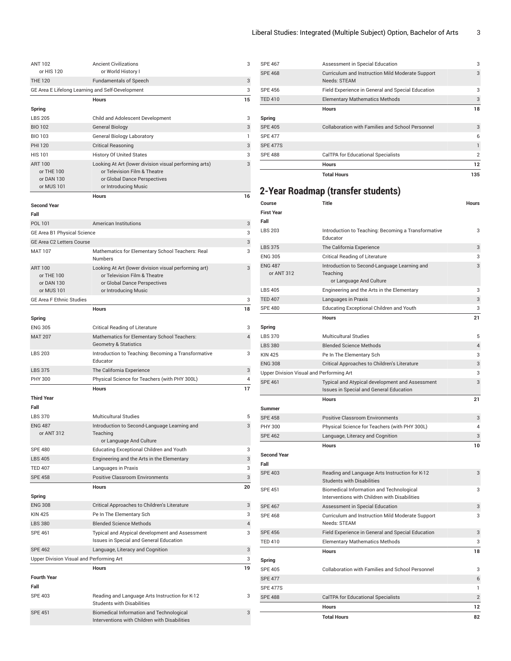| <b>ANT 102</b><br>or HIS 120             | <b>Ancient Civilizations</b>                                                               | 3  |
|------------------------------------------|--------------------------------------------------------------------------------------------|----|
| <b>THE 120</b>                           | or World History I<br><b>Fundamentals of Speech</b>                                        | 3  |
|                                          | GE Area E Lifelong Learning and Self-Development                                           | 3  |
|                                          | <b>Hours</b>                                                                               | 15 |
|                                          |                                                                                            |    |
| Spring<br><b>LBS 205</b>                 | Child and Adolescent Development                                                           | 3  |
| <b>BIO 102</b>                           |                                                                                            | 3  |
|                                          | General Biology                                                                            |    |
| <b>BIO 103</b>                           | <b>General Biology Laboratory</b>                                                          | 1  |
| <b>PHI 120</b>                           | <b>Critical Reasoning</b>                                                                  | 3  |
| <b>HIS 101</b>                           | <b>History Of United States</b>                                                            | 3  |
| <b>ART 100</b><br>or THE 100             | Looking At Art (lower division visual performing arts)<br>or Television Film & Theatre     | 3  |
| or DAN 130                               | or Global Dance Perspectives                                                               |    |
| or MUS 101                               | or Introducing Music                                                                       |    |
|                                          | <b>Hours</b>                                                                               | 16 |
| <b>Second Year</b><br>Fall               |                                                                                            |    |
| POL 101                                  | <b>American Institutions</b>                                                               | 3  |
| GE Area B1 Physical Science              |                                                                                            | 3  |
| GE Area C2 Letters Course                |                                                                                            | 3  |
| <b>MAT 107</b>                           | Mathematics for Elementary School Teachers: Real                                           | 3  |
|                                          | <b>Numbers</b>                                                                             |    |
| <b>ART 100</b>                           | Looking At Art (lower division visual performing art)                                      | 3  |
| or THE 100                               | or Television Film & Theatre                                                               |    |
| or DAN 130                               | or Global Dance Perspectives                                                               |    |
| or MUS 101                               | or Introducing Music                                                                       |    |
| <b>GE Area F Ethnic Studies</b>          |                                                                                            | 3  |
|                                          | <b>Hours</b>                                                                               | 18 |
| Spring                                   |                                                                                            |    |
| <b>ENG 305</b>                           | <b>Critical Reading of Literature</b>                                                      | 3  |
| <b>MAT 207</b>                           | Mathematics for Elementary School Teachers:<br><b>Geometry &amp; Statistics</b>            | 4  |
| <b>LBS 203</b>                           | Introduction to Teaching: Becoming a Transformative<br>Educator                            | 3  |
| <b>LBS 375</b>                           | The California Experience                                                                  | 3  |
| <b>PHY 300</b>                           | Physical Science for Teachers (with PHY 300L)                                              | 4  |
|                                          | <b>Hours</b>                                                                               | 17 |
| <b>Third Year</b>                        |                                                                                            |    |
| Fall                                     |                                                                                            |    |
| <b>LBS 370</b>                           | <b>Multicultural Studies</b>                                                               | 5  |
| <b>ENG 487</b><br>or ANT 312             | Introduction to Second-Language Learning and<br>Teaching                                   | 3  |
|                                          | or Language And Culture                                                                    |    |
| <b>SPE 480</b>                           | Educating Exceptional Children and Youth                                                   | 3  |
| <b>LBS 405</b>                           | Engineering and the Arts in the Elementary                                                 | 3  |
| <b>TED 407</b>                           | Languages in Praxis                                                                        | 3  |
| <b>SPE 458</b>                           | <b>Positive Classroom Environments</b>                                                     | 3  |
|                                          | <b>Hours</b>                                                                               | 20 |
| Spring                                   |                                                                                            |    |
| <b>ENG 308</b>                           | Critical Approaches to Children's Literature                                               | 3  |
| <b>KIN 425</b>                           | Pe In The Elementary Sch                                                                   | 3  |
| <b>LBS 380</b>                           | <b>Blended Science Methods</b>                                                             | 4  |
| <b>SPE 461</b>                           | Typical and Atypical development and Assessment<br>Issues in Special and General Education | 3  |
| <b>SPE 462</b>                           | Language, Literacy and Cognition                                                           | 3  |
| Upper Division Visual and Performing Art |                                                                                            | 3  |
|                                          | <b>Hours</b>                                                                               | 19 |
| <b>Fourth Year</b>                       |                                                                                            |    |
| Fall                                     |                                                                                            |    |
| <b>SPE 403</b>                           | Reading and Language Arts Instruction for K-12<br><b>Students with Disabilities</b>        | 3  |
| <b>SPE 451</b>                           | Biomedical Information and Technological<br>Interventions with Children with Disabilities  | 3  |

| <b>SPE 467</b>  | Assessment in Special Education                                  | 3              |
|-----------------|------------------------------------------------------------------|----------------|
| <b>SPE 468</b>  | Curriculum and Instruction Mild Moderate Support<br>Needs: STEAM | 3              |
| <b>SPE 456</b>  | Field Experience in General and Special Education                | 3              |
| <b>TED 410</b>  | <b>Elementary Mathematics Methods</b>                            | 3              |
|                 | <b>Hours</b>                                                     | 18             |
| Spring          |                                                                  |                |
| <b>SPE 405</b>  | Collaboration with Families and School Personnel                 | 3              |
| <b>SPE 477</b>  |                                                                  | 6              |
| <b>SPE 477S</b> |                                                                  | 1              |
| <b>SPE 488</b>  | <b>CalTPA for Educational Specialists</b>                        | $\overline{2}$ |
|                 | <b>Hours</b>                                                     | $12 \,$        |
|                 | <b>Total Hours</b>                                               | 135            |

## **2-Year Roadmap (transfer students)**

| <b>SPE 462</b><br><b>Second Year</b><br>Fall<br><b>SPE 403</b><br><b>SPE 451</b><br><b>SPE 467</b> | <b>Hours</b><br>Reading and Language Arts Instruction for K-12<br><b>Students with Disabilities</b><br>Biomedical Information and Technological<br>Interventions with Children with Disabilities<br>Assessment in Special Education | 10<br>3<br>3<br>3 |
|----------------------------------------------------------------------------------------------------|-------------------------------------------------------------------------------------------------------------------------------------------------------------------------------------------------------------------------------------|-------------------|
|                                                                                                    |                                                                                                                                                                                                                                     |                   |
|                                                                                                    |                                                                                                                                                                                                                                     |                   |
|                                                                                                    |                                                                                                                                                                                                                                     |                   |
|                                                                                                    |                                                                                                                                                                                                                                     |                   |
|                                                                                                    |                                                                                                                                                                                                                                     |                   |
|                                                                                                    |                                                                                                                                                                                                                                     |                   |
|                                                                                                    |                                                                                                                                                                                                                                     |                   |
|                                                                                                    | Language, Literacy and Cognition                                                                                                                                                                                                    | 3                 |
| <b>PHY 300</b>                                                                                     | Physical Science for Teachers (with PHY 300L)                                                                                                                                                                                       | 4                 |
| <b>SPE 458</b>                                                                                     | <b>Positive Classroom Environments</b>                                                                                                                                                                                              | 3                 |
| <b>Summer</b>                                                                                      |                                                                                                                                                                                                                                     |                   |
|                                                                                                    | <b>Hours</b>                                                                                                                                                                                                                        | 21                |
|                                                                                                    | Issues in Special and General Education                                                                                                                                                                                             |                   |
| <b>SPE 461</b>                                                                                     | Typical and Atypical development and Assessment                                                                                                                                                                                     | 3                 |
| Upper Division Visual and Performing Art                                                           |                                                                                                                                                                                                                                     | 3                 |
| <b>ENG 308</b>                                                                                     | Critical Approaches to Children's Literature                                                                                                                                                                                        | 3                 |
| <b>KIN 425</b>                                                                                     | Pe In The Elementary Sch                                                                                                                                                                                                            | 3                 |
| <b>LBS 380</b>                                                                                     | <b>Blended Science Methods</b>                                                                                                                                                                                                      | $\overline{4}$    |
| <b>LBS 370</b>                                                                                     | <b>Multicultural Studies</b>                                                                                                                                                                                                        | 5                 |
| Spring                                                                                             |                                                                                                                                                                                                                                     |                   |
|                                                                                                    | <b>Hours</b>                                                                                                                                                                                                                        | 21                |
| <b>SPE 480</b>                                                                                     | Languages in Praxis<br>Educating Exceptional Children and Youth                                                                                                                                                                     | 3                 |
| <b>LBS 405</b><br><b>TED 407</b>                                                                   | Engineering and the Arts in the Elementary                                                                                                                                                                                          | 3<br>3            |
|                                                                                                    | or Language And Culture                                                                                                                                                                                                             |                   |
| <b>ENG 487</b><br>or ANT 312                                                                       | Introduction to Second-Language Learning and<br>Teaching                                                                                                                                                                            | 3                 |
| <b>ENG 305</b>                                                                                     | <b>Critical Reading of Literature</b>                                                                                                                                                                                               | 3                 |
| <b>LBS 375</b>                                                                                     | The California Experience                                                                                                                                                                                                           | 3                 |
|                                                                                                    | Educator                                                                                                                                                                                                                            |                   |
|                                                                                                    | Introduction to Teaching: Becoming a Transformative                                                                                                                                                                                 | 3                 |
| <b>LBS 203</b>                                                                                     |                                                                                                                                                                                                                                     |                   |
| <b>First Year</b><br>Fall                                                                          |                                                                                                                                                                                                                                     |                   |